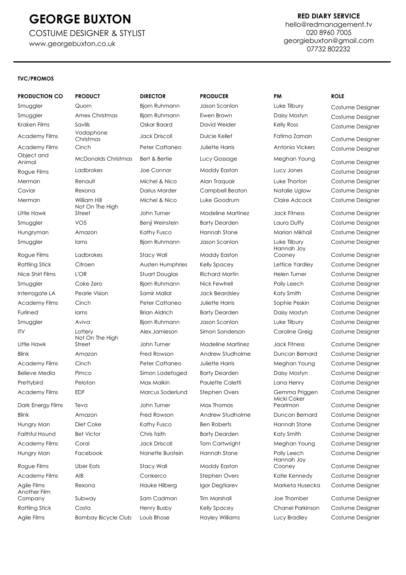COSTUME DESIGNER & STYLIST [www.georgebuxton.co.uk](http://www.georgebuxton.co.uk/)

#### **RED DIARY SERVICE**

[hello@redmanagement.tv](mailto:hello@redmanagement.tv) 020 8960 7005 [georgiebuxton@gmail.com](mailto:georgiebuxton@gmail.com) 07732 802232

#### **TVC/PROMOS**

### **PRODUCTION CO PRODUCT DIRECTOR PRODUCER PM ROLE** Smuggler Quorn Bjorn Ruhmann Jason Scanlon Luke Tilbury Costume Designer Smuggler Amex Christmas Bjorn Ruhmann Ewen Brown Daisy Mostyn Costume Designer Kraken Films Savills Savills Oskar Baard David Weider Kelly Ross Costume Designer<br>And David Weider Schweizer (Schweizer der Aberline der Aberline der Aberline der Aberline der Aberline der Abe Academy Films<br>Christmas Academy Films Cinch **Cinch** Peter Cattaneo Juliette Harris Antonia Vickers Costume Designer Object and Animal McDonalds Christmas Bert & Bertie Lucy Gossage Meghan Young Costume Designer Rogue Films Ladbrokes Joe Connor Maddy Easton Lucy Jones Costume Designer Merman Renault Michel & Nico Alan Traquair Luke Thorton Costume Designer Caviar Rexona Darius Marder Campbell Beaton Natalie Uglow Costume Designer Merman William Hill Michel & Nico Luke Goodrum Claire Adcock Costume Designer Little Hawk Smuggler VO5 Benji Weinstein Barty Dearden Laura Duffy Costume Designer Hungryman Amazon Kathy Fusco Hannah Stone Marian Mikhail Costume Designer Smuggler Iams Bjorn Ruhmann Jason Scanlon Luke Tilbury Costume Designer Rogue Films Ladbrokes Stacy Wall Maddy Easton Rattling Stick Citroen **City Austen Humphries** Kelly Spacey Lettice Yardley Costume Designer Nice Shirt Films L'OR Stuart Douglas Richard Martin Helen Turner Costume Designer Smuggler Coke Zero Bjorn Ruhmann Nick Fewtrell Polly Leech Costume Designer Interrogate LA Pearle Vision Samir Mallal Jack Beardsley Katy Smith Costume Designer Academy Films Cinch **Cinch** Peter Cattaneo Juliette Harris Sophie Peskin Costume Designer Furlined Iams Brian Aldrich Barty Dearden Daisy Mostyn Costume Designer Smuggler Aviva Bjorn Ruhmann Jason Scanlon Luke Tilbury Costume Designer ITV Lottery Alex Jamieson Simon Sanderson Caroline Greig Costume Designer Little Hawk Blink Amazon Fred Rowson Andrew Studholme Duncan Bernard Costume Designer Academy Films Cinch **Cinch** Peter Cattaneo Juliette Harris Meghan Young Costume Designer Believe Media Pimco Simon Ladefoged Barty Dearden Daisy Mostyn Costume Designer Prettybird Peloton Max Malkin Paulette Caletti Lana Henry Costume Designer Academy Films EDF Marcus Soderlund Stephen Overs Gemma Priggen Costume Designer Dark Energy Films Teva **John Turner** Max Thomas Blink Amazon Fred Rowson Andrew Studholme Duncan Bernard Costume Designer Hungry Man Diet Coke Kathy Fusco Ben Roberts Hannah Stone Costume Designer

Another Film

Not On The High Street John Turner Madeline Martinez Jack Fitness Costume Designer Not On The High Rogue Films Uber Eats Stacy Wall Maddy Easton

Jack Driscoll **Dulcie Kellet** Fatima Zaman Costume Designer

Hannah Joy

Micki Coker Hannah Joy Company Subway Sam Cadman Tim Marshall Joe Thornber Costume Designer

Cooney Costume Designer

Street John Turner Madeline Martinez Jack Fitness Costume Designer

Pearlman Costume Designer Faithful Hound Bet Victor Chris faith Barty Dearden Katy Smith Costume Designer Academy Films Coral **Conally Academy Conally Academy Costume Designer** Jack Driscoll Tom Cartwright Meghan Young Costume Designer Hungry Man Facebook Nanette Burstein Hannah Stone Polly Leech Costume Designer

Cooney Costume Designer Academy Films AIB Conkerco Stephen Overs Katie Kennedy Costume Designer Agile Films Rexona **Rexona** Hauke Hilberg Igor Degtiarev Marketa Husecka Costume Designer

Rattling Stick Costa **Costa** Henry Busby Kelly Spacey Chanel Parkinson Costume Designer Agile Films Bombay Bicycle Club Louis Bhose Hayley Williams Lucy Bradley Costume Designer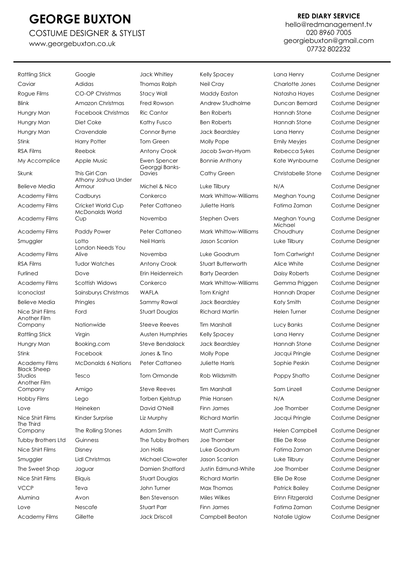### COSTUME DESIGNER & STYLIST

[www.georgebuxton.co.uk](http://www.georgebuxton.co.uk/)

### **RED DIARY SERVICE**

[hello@redmanagement.tv](mailto:hello@redmanagement.tv) 020 8960 7005 [georgiebuxton@gmail.com](mailto:georgiebuxton@gmail.com) 07732 802232

Rattling Stick Google Google Jack Whitley Kelly Spacey Lang Henry Costume Designer Caviar Adidas Thomas Ralph Neil Cray Charlotte Jones Costume Designer Rogue Films CO-OP Christmas Stacy Wall Maddy Easton Natasha Hayes Costume Designer Blink Amazon Christmas Fred Rowson Andrew Studholme Duncan Bernard Costume Designer Hungry Man Facebook Christmas Ric Cantor Ben Roberts Hannah Stone Costume Designer Hungry Man Diet Coke Kathy Fusco Ben Roberts Hannah Stone Costume Designer Hungry Man Cravendale Connor Byrne Jack Beardsley Lana Henry Costume Designer Stink **Harry Potter** Tom Green Molly Pope **Emily Meyjes** Costume Designer RSA Films Reebok Antony Crook Jacob Swan-Hyam Rebecca Sykes Costume Designer My Accomplice Apple Music **Ewen Spencer** Bonnie Anthony Kate Wynbourne Costume Designer Skunk This Girl Can Believe Media Athony Joshua Under Academy Films Cadburys Conkerco Mark Whittow-Williams Meghan Young Costume Designer Academy Films Cricket World Cup Peter Cattaneo Juliette Harris Fatima Zaman Costume Designer Academy Films McDonalds World Academy Films Paddy Power Peter Cattaneo Mark Whittow-Williams Smuggler Lotto Neil Harris Jason Scanlon Luke Tilbury Costume Designer Academy Films London Needs You RSA Films Tudor Watches Antony Crook Stuart Butterworth Alice White Costume Designer Furlined Dove Erin Heidenreich Barty Dearden Daisy Roberts Costume Designer Academy Films Scottish Widows Conkerco Mark Whittow-Williams Gemma Priggen Costume Designer Iconoclast Sainsburys Christmas WAFLA Tom Knight Hannah Draper Costume Designer Believe Media Pringles Sammy Rawal Jack Beardsley Katy Smith Costume Designer Nice Shirt Films Ford Stuart Douglas Richard Martin Helen Turner Costume Designer Another Film Company Nationwide Steeve Reeves Tim Marshall Lucy Banks Costume Designer Rattling Stick Virgin Nusten Humphries Kelly Spacey Lana Henry Costume Designer Hungry Man Booking.com Steve Bendalack Jack Beardsley Hannah Stone Costume Designer Stink Facebook Jones & Tino Molly Pope Jacqui Pringle Costume Designer Academy Films McDonalds 6 Nations Peter Cattaneo Juliette Harris Sophie Peskin Costume Designer Black Sheep Studios Tesco Tom Ormonde Rob Wildsmith Poppy Shafto Costume Designer Another Film Company Amigo Steve Reeves Tim Marshall Sam Linzell Costume Designer Hobby Films Lego Torben Kjelstrup Phie Hansen N/A Costume Designer Love Heineken David O'Neill Finn James Joe Thornber Costume Designer Nice Shirt Films Kinder Surprise Liz Murphy Richard Martin Jacqui Pringle Costume Designer The Third Company The Rolling Stones Adam Smith Matt Cummins Helen Campbell Costume Designer Tubby Brothers Ltd Guinness The Tubby Brothers Joe Thornber Ellie De Rose Costume Designer Nice Shirt Films Disney Jon Hollis Luke Goodrum Fatima Zaman Costume Designer Smuggler Lidl Christmas Michael Clowater Jason Scanlon Luke Tilbury Costume Designer The Sweet Shop Jaguar Damien Shatford Justin Edmund-White Joe Thornber Costume Designer Nice Shirt Films Eliquis Stuart Douglas Richard Martin Ellie De Rose Costume Designer VCCP Teva Teva John Turner Max Thomas Patrick Bailey Costume Designer Alumina Avon Ben Stevenson Miles Wilkes Erinn Fitzgerald Costume Designer Love Nescafe Stuart Parr Finn James Fatima Zaman Costume Designer

Georggi Banks-

Academy Films Gillette Jack Driscoll Campbell Beaton Natalie Uglow Costume Designer

Davies Cathy Green Christabelle Stone Costume Designer Armour **Michel & Nico** Luke Tilbury **N/A** Costume Designer Cup Novemba Stephen Overs Meghan Young Costume Designer Michael Alive **Novemba** Luke Goodrum Tom Cartwright Costume Designer

Choudhury Costume Designer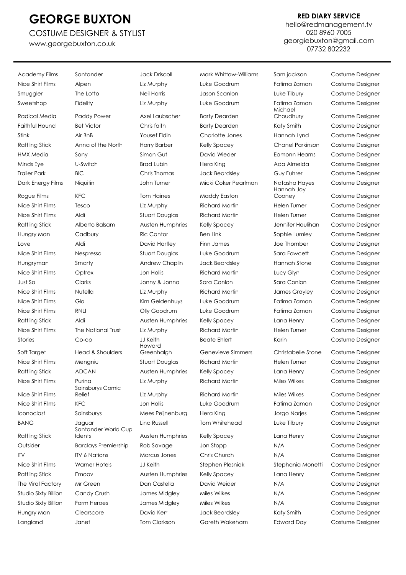### COSTUME DESIGNER & STYLIST [www.georgebuxton.co.uk](http://www.georgebuxton.co.uk/)

### **RED DIARY SERVICE**

[hello@redmanagement.tv](mailto:hello@redmanagement.tv) 020 8960 7005 [georgiebuxton@gmail.com](mailto:georgiebuxton@gmail.com) 07732 802232

Nice Shirt Films Alpen Liz Murphy Luke Goodrum Fatima Zaman Costume Designer Smuggler The Lotto Neil Harris Jason Scanlon Luke Tilbury Costume Designer Sweetshop Fidelity Liz Murphy Luke Goodrum Fatima Zaman Costume Designer Radical Media Paddy Power Axel Laubscher Barty Dearden Faithful Hound Bet Victor Chris faith Barty Dearden Katy Smith Costume Designer Stink Air BnB Yousef Eldin Charlotte Jones Hannah Lynd Costume Designer Rattling Stick Anna of the North Harry Barber Kelly Spacey Chanel Parkinson Costume Designer HMX Media Sony Simon Gut David Wieder Eamonn Hearns Costume Designer Minds Eye U-Switch Brad Lubin Hera King Ada Almeida Costume Designer Trailer Park BIC Chris Thomas Jack Beardsley Guy Fuhrer Costume Designer Dark Energy Films Niquitin John Turner Micki Coker Pearlman Natasha Hayes Costume Designer Rogue Films KFC Tom Haines Maddy Easton Nice Shirt Films Tesco Liz Murphy Richard Martin Helen Turner Costume Designer Nice Shirt Films Aldi Stuart Douglas Richard Martin Helen Turner Costume Designer Rattling Stick Alberto Balsam Austen Humphries Kelly Spacey Jennifer Houlihan Costume Designer Hungry Man Cadbury Ric Cantor Ben Link Sophie Lumley Costume Designer Love Aldi David Hartley Finn James Joe Thornber Costume Designer Nice Shirt Films Nespresso Stuart Douglas Luke Goodrum Sara Fawcett Costume Designer Hungryman Smarty Andrew Chaplin Jack Beardsley Hannah Stone Costume Designer Nice Shirt Films Optrex Jon Hollis Richard Martin Lucy Glyn Costume Designer Just So Clarks Jonny & Jonno Sara Conlon Sara Conlon Costume Designer Nice Shirt Films Nutella Liz Murphy Richard Martin James Grayley Costume Designer Nice Shirt Films Glo Kim Geldenhuys Luke Goodrum Fatima Zaman Costume Designer Nice Shirt Films RNLI Olly Goodrum Luke Goodrum Fatima Zaman Costume Designer Rattling Stick Aldi Austen Humphries Kelly Spacey Lana Henry Costume Designer Nice Shirt Films The National Trust Liz Murphy Richard Martin Helen Turner Costume Designer Stories Co-op JJ Keith Beate Ehlert Karin Costume Designer Soft Target Head & Shoulders Nice Shirt Films Mengniu Stuart Douglas Richard Martin Helen Turner Costume Designer Rattling Stick ADCAN Austen Humphries Kelly Spacey Lana Henry Costume Designer Nice Shirt Films Purina Liz Murphy Richard Martin Miles Wilkes Costume Designer Nice Shirt Films Nice Shirt Films KFC **Shirt Contains A Constant Constant Constant Constant Constant Constant Constant Constant** Iconoclast Sainsburys Mees Peijnenburg Hera King Jorgo Narjes Costume Designer BANG Jaguar Lino Russell Tom Whitehead Luke Tilbury Costume Designer Rattling Stick Outsider Barclays Premiership Rob Savage Jon Stopp N/A Costume Designer ITV ITV 6 Nations Marcus Jones Chris Church N/A Costume Designer Nice Shirt Films Warner Hotels JJ Keith Stephen Plesniak Stephania Monetti Costume Designer Rattling Stick Emoov Austen Humphries Kelly Spacey Lana Henry Costume Designer The Viral Factory Mr Green **Dan Castella** David Weider N/A Costume Designer Studio Sixty Billion Candy Crush James Midgley Miles Wilkes N/A Costume Designer Studio Sixty Billion Farm Heroes James Midgley Miles Wilkes N/A Costume Designer Hungry Man Clearscore David Kerr Jack Beardsley Katy Smith Costume Designer Langland Janet Tom Clarkson Gareth Wakeham Edward Day Costume Designer

Academy Films Santander Jack Driscoll Mark Whittow-Williams Sam jackson Costume Designer Sainsburys Comic Relief **Liz Murphy** Richard Martin Miles Wilkes Costume Designer Santander World Cup Idents Austen Humphries Kelly Spacey Lana Henry Costume Designer

Howard

Michael Hannah Joy

Choudhury Costume Designer Cooney Costume Designer Greenhalgh Genevieve Simmers Christabelle Stone Costume Designer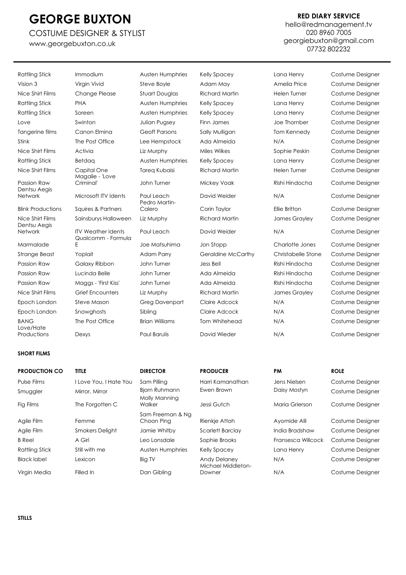### COSTUME DESIGNER & STYLIST

[www.georgebuxton.co.uk](http://www.georgebuxton.co.uk/)

### **RED DIARY SERVICE**

[hello@redmanagement.tv](mailto:hello@redmanagement.tv) 020 8960 7005 [georgiebuxton@gmail.com](mailto:georgiebuxton@gmail.com) 07732 802232

| Rattling Stick                   | Immodium                                        | Austen Humphries            | <b>Kelly Spacey</b>   | Lana Henry         | Costume Designer |
|----------------------------------|-------------------------------------------------|-----------------------------|-----------------------|--------------------|------------------|
| Vision 3                         | Virgin Vivid                                    | Steve Boyle                 | Adam May              | Amelia Price       | Costume Designer |
| Nice Shirt Films                 | <b>Change Please</b>                            | <b>Stuart Douglas</b>       | <b>Richard Martin</b> | Helen Turner       | Costume Designer |
| <b>Rattling Stick</b>            | <b>PHA</b>                                      | Austen Humphries            | <b>Kelly Spacey</b>   | Lana Henry         | Costume Designer |
| <b>Rattling Stick</b>            | Soreen                                          | Austen Humphries            | <b>Kelly Spacey</b>   | Lana Henry         | Costume Designer |
| Love                             | Swinton                                         | Julian Pugsey               | Finn James            | Joe Thornber       | Costume Designer |
| Tangerine films                  | Canon Elmina                                    | <b>Geoff Parsons</b>        | Sally Mulligan        | Tom Kennedy        | Costume Designer |
| Stink                            | The Post Office                                 | Lee Hempstock               | Ada Almeida           | N/A                | Costume Designer |
| Nice Shirt Films                 | Activia                                         | Liz Murphy                  | Miles Wilkes          | Sophie Peskin      | Costume Designer |
| <b>Rattling Stick</b>            | Betdaa                                          | Austen Humphries            | <b>Kelly Spacey</b>   | Lana Henry         | Costume Designer |
| Nice Shirt Films                 | Capital One<br>Magalie - 'Love                  | <b>Tareg Kubaisi</b>        | <b>Richard Martin</b> | Helen Turner       | Costume Designer |
| Passion Raw<br>Dentsu Aegis      | Criminal'                                       | John Turner                 | <b>Mickey Voak</b>    | Rishi Hindocha     | Costume Designer |
| Network                          | Microsoft ITV Idents                            | Paul Leach<br>Pedro Martin- | David Weider          | N/A                | Costume Designer |
| <b>Blink Productions</b>         | Squires & Partners                              | Calero                      | Corin Taylor          | Ellie Britton      | Costume Designer |
| Nice Shirt Films<br>Dentsu Aegis | Sainsburys Halloween                            | Liz Murphy                  | <b>Richard Martin</b> | James Grayley      | Costume Designer |
| Network                          | <b>ITV Weather Idents</b><br>Qualcomm - Formula | Paul Leach                  | David Weider          | N/A                | Costume Designer |
| Marmalade                        | Ε                                               | Joe Matsuhima               | Jon Stopp             | Charlotte Jones    | Costume Designer |
| <b>Strange Beast</b>             | Yoplait                                         | Adam Parry                  | Geraldine McCarthy    | Christabelle Stone | Costume Designer |
| <b>Passion Raw</b>               | Galaxy Ribbon                                   | John Turner                 | Jess Bell             | Rishi Hindocha     | Costume Designer |
| Passion Raw                      | Lucinda Belle                                   | John Turner                 | Ada Almeida           | Rishi Hindocha     | Costume Designer |
| Passion Raw                      | Maggs - 'First Kiss'                            | John Turner                 | Ada Almeida           | Rishi Hindocha     | Costume Designer |
| Nice Shirt Films                 | <b>Grief Encounters</b>                         | Liz Murphy                  | <b>Richard Martin</b> | James Grayley      | Costume Designer |
| Epoch London                     | Steve Mason                                     | <b>Greg Davenport</b>       | Claire Adcock         | N/A                | Costume Designer |
| Epoch London                     | Snowghosts                                      | Sibling                     | Claire Adcock         | N/A                | Costume Designer |
| <b>BANG</b><br>Love/Hate         | The Post Office                                 | <b>Brian Williams</b>       | Tom Whitehead         | N/A                | Costume Designer |
| Productions                      | Dexys                                           | <b>Paul Barulis</b>         | David Wieder          | N/A                | Costume Designer |
|                                  |                                                 |                             |                       |                    |                  |

| <b>PRODUCTION CO</b>  | <b>TITLE</b>           | <b>DIRECTOR</b>                | <b>PRODUCER</b>                           | <b>PM</b>          | <b>ROLE</b>      |
|-----------------------|------------------------|--------------------------------|-------------------------------------------|--------------------|------------------|
| Pulse Films           | I Love You, I Hate You | Sam Pilling                    | Harri Kamanathan                          | Jens Nielsen       | Costume Designer |
| Smuggler              | Mirror, Mirror         | Bjorn Ruhmann<br>Molly Manning | Ewen Brown                                | Daisy Mostyn       | Costume Designer |
| Fig Films             | The Forgotten C        | Walker                         | Jessi Gutch                               | Maria Grierson     | Costume Designer |
| Agile Film            | Femme                  | Sam Freeman & Na<br>Choon Ping | Rienkje Attoh                             | Ayomide Alli       | Costume Designer |
| Agile Film            | <b>Smokers Delight</b> | Jamie Whitby                   | Scarlett Barclay                          | India Bradshaw     | Costume Designer |
| <b>B</b> Reel         | A Girl                 | Leo Lonsdale                   | Sophie Brooks                             | Fransesca Willcock | Costume Designer |
| <b>Rattling Stick</b> | Still with me          | Austen Humphries               | <b>Kelly Spacey</b>                       | Lana Henry         | Costume Designer |
| <b>Black label</b>    | Lexicon                | <b>Big TV</b>                  | <b>Andy Delaney</b><br>Michael Middleton- | N/A                | Costume Designer |
| Virgin Media          | Filled In              | Dan Gibling                    | Downer                                    | N/A                | Costume Designer |
|                       |                        |                                |                                           |                    |                  |

**STILLS**

**SHORT FILMS**